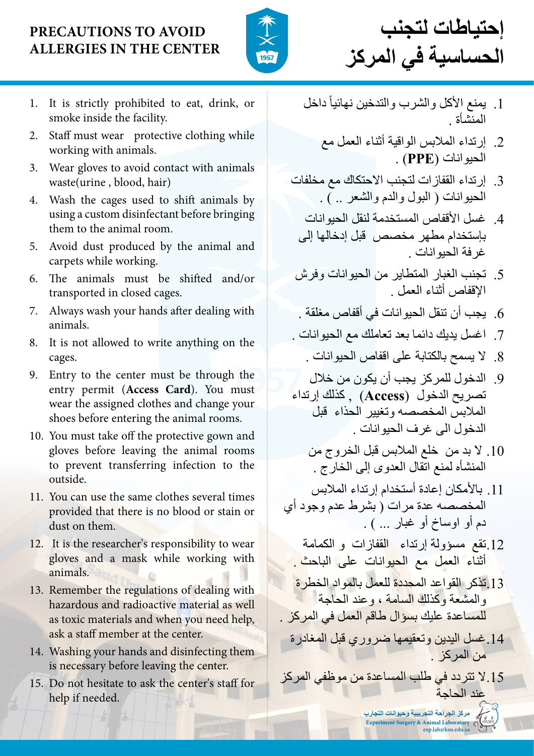- 1. It is strictly prohibited to eat, drink, or smoke inside the facility.
- 2. Staff must wear protective clothing while working with animals.
- 3. Wear gloves to avoid contact with animals waste(urine , blood, hair)
- 4. Wash the cages used to shift animals by using a custom disinfectant before bringing them to the animal room.
- 5. Avoid dust produced by the animal and carpets while working.
- 6. The animals must be shifted and/or transported in closed cages.
- 7. Always wash your hands after dealing with animals.
- 8. It is not allowed to write anything on the cages.
- 9. Entry to the center must be through the entry permit (**Access Card**). You must wear the assigned clothes and change your shoes before entering the animal rooms.
- 10. You must take off the protective gown and gloves before leaving the animal rooms to prevent transferring infection to the outside.
- 11. You can use the same clothes several times provided that there is no blood or stain or dust on them.
- 12. It is the researcher's responsibility to wear gloves and a mask while working with
- ً داخل .1 يمنع األكل والشرب والتدخين نهائيا المنشأة .
	- .2 إرتداء المالبس الواقية أثناء العمل مع الحيوانات )**PPE** ).
- .3 إرتداء القفازات لتجنب االحتكاك مع مخلفات الحيوانات ) البول والدم والشعر .. ( .
	- 4. غسل الأقفاص المستخدمة لنقل الحيوانات بإستخدام مطهر مخصص قبل إدخالها إلى غرفة الحيوانات .
- .5 تجنب الغبار المتطاير من الحيوانات وفرش اإلقفاص أثناء العمل .
- .6 يجب أن تنقل الحيوانات في أقفاص مغلقة .
- .7 اغسل يديك دائما بعد تعاملك مع الحيوانات .
	- .8 ال يسمح بالكتابة على اقفاص الحيوانات .
- .9 الدخول للمركز يجب أن يكون من خالل تصريح الدخول )**Access** ), كذلك إرتداء المالبس المخصصه وتغيير الحذاء قبل الدخول الى غرف الحيوانات .
	- 1010 ال بد من خلع المالبس قبل الخروج من المنشأه لمنع اتقال العدوى إلى الخارج .
- 1111 باألمكان إعادة أستخدام إرتداء المالبس المخصصه عدة مرات ) بشرط عدم وجود أي دم أو اوساخ أو غبار ... ) .
	- 1212تقع مسؤولة إرتداء القفازات و الكمامة أثناء العمل مع ال<mark>حيو</mark>انات على الباحث .

### animals.

- 13. Remember the regulations of dealing with hazardous and radioactive material as well as toxic materials and when you need help, ask a staff member at the center.
- 14. Washing your hands and disinfecting them is necessary before leaving the center.
- 15. Do not hesitate to ask the center's staff for help if needed.

## **Precautions to avoid allergies in the center**



**إحتياطات لتجنب الحساسية في المركز**

1313تذكر القواعد المحددة للعمل بالمواد الخطرة والمشعة وكذلك السامة ، وعند الحاجة للمساعدة عليك بسؤال طاقم العمل في المركز . 1414غسل اليدين وتعقيمها ضروري قبل المغادرة من المركز . 1515ال تتردد في طلب المساعدة من موظفي المركز عند الحاجة **مركز الجراحة التجريبية وحيوانات التجارب Experiment Surgery & Animal Laboratory**  $\bigcap$ **exp.lab@ksu.edu.sa**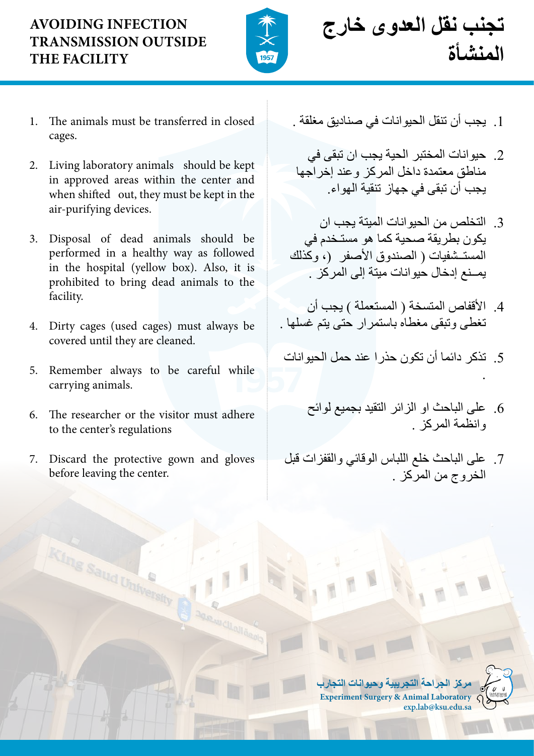- 1. The animals must be transferred in closed cages.
- 2. Living laboratory animals should be kept in approved areas within the center and when shifted out, they must be kept in the air-purifying devices.
- 3. Disposal of dead animals should be performed in a healthy way as followed in the hospital (yellow box). Also, it is prohibited to bring dead animals to the facility.
- 4. Dirty cages (used cages) must always be covered until they are cleaned.
- 5. Remember always to be careful while carrying animals.
- 6. The researcher or the visitor must adhere to the center's regulations
- 7. Discard the protective gown and gloves before leaving the center.

aud University

## **Avoiding infection transmission outside the facility**



**تجنب نقل العدوى خارج المنشأة**

- .1 يجب أن تنقل الحيوانات في صناديق مغلقة .
- .2 حيوانات المختبر الحية يجب ان تبقى في مناطق معتمدة داخل المركز وعند إخراجها يجب أن تبقى في جهاز تنقية الهواء.
- .3 التخلص من الحيوانات الميتة يجب ان يكون بطريقة صحية كما هو مستـخدم في المستــشفيات ( الصندوق الأصفر (، وكذلك يمــنع إدخال حيوانات ميتة إلى المركز .
- 4. الأقفاص المتسخة ( المستعملة ) يجب أن تغطى وتبقى مغطاه باستمرار حتى يتم غسلها .
- .5 تذكر دائما أن تكون حذرا عند حمل الحيوانات .
	- .6 على الباحث او الزائر التقيد بجميع لوائح وانظمة المركز .
- .7 على الباحث خلع اللباس الوقائي والقفزات قبل الخروج من المركز .